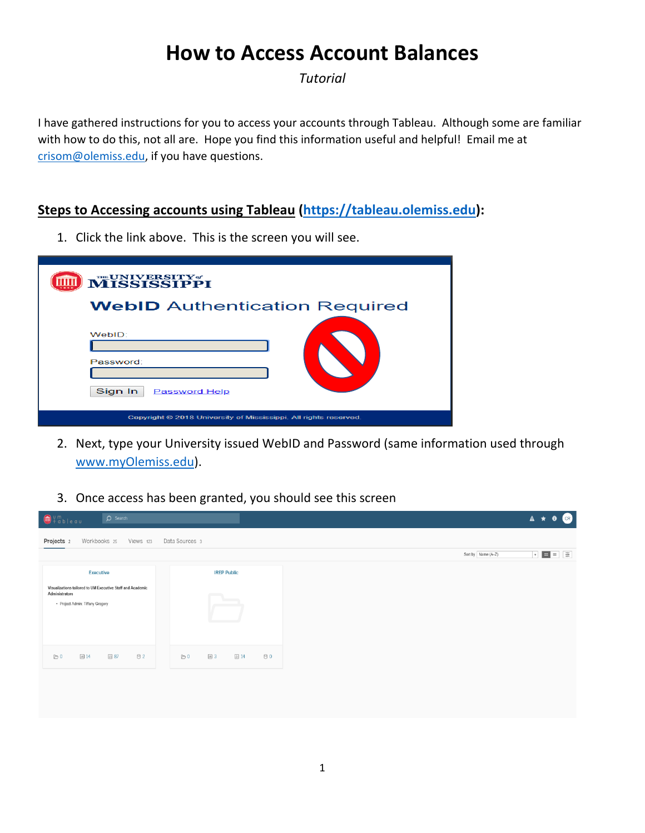# **How to Access Account Balances**

*Tutorial*

I have gathered instructions for you to access your accounts through Tableau. Although some are familiar with how to do this, not all are. Hope you find this information useful and helpful! Email me at crisom@olemiss.edu, if you have questions.

# **Steps to Accessing accounts using Tableau (https://tableau.olemiss.edu):**

1. Click the link above. This is the screen you will see.

| <b>MISSISSIPPI</b>                                               |
|------------------------------------------------------------------|
| <b>WebID</b> Authentication Required                             |
| WebID:<br>Password:<br>Sign In<br><b>Password Help</b>           |
| Copyright @ 2018 University of Mississippi. All rights reserved. |

- 2. Next, type your University issued WebID and Password (same information used through www.myOlemiss.edu).
- 3. Once access has been granted, you should see this screen

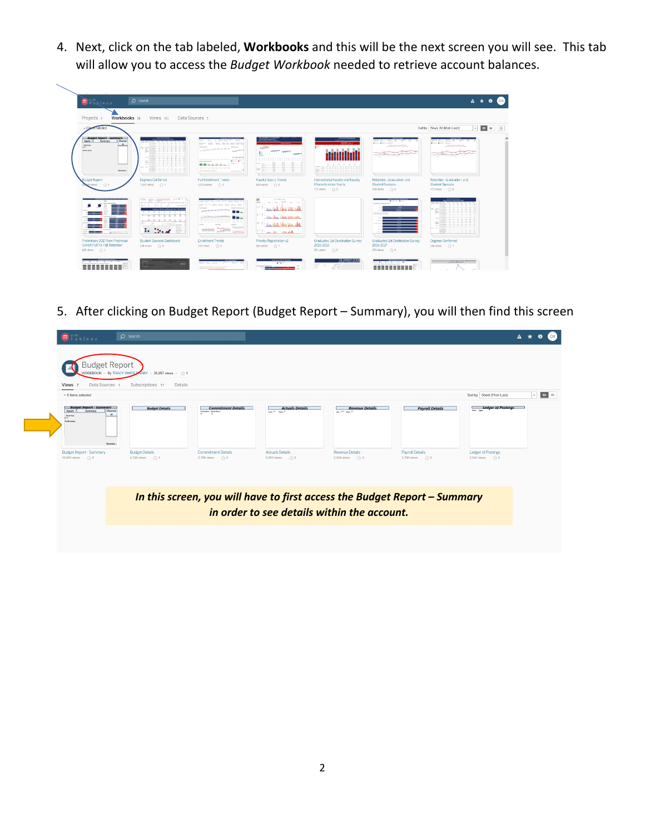4. Next, click on the tab labeled, **Workbooks** and this will be the next screen you will see. This tab will allow you to access the *Budget Workbook* needed to retrieve account balances.

| Workbooks 25<br>Projects <sub>2</sub>                                                                                                                                     | Views 123                                                                                                                                                                        | Data Sources 3                                                                                                                                                                                                                                                                                                                                                                                                                                                                                                                 |                                                                                                                                                                                                                                                                                                                                                                                                                                                                                                                                              |                                                                                           |                                                                                                                                                | $\begin{array}{c} \hline \end{array}$<br>Sort by Views: All (Most-Least)<br>$\overline{\phantom{a}}$                                          |
|---------------------------------------------------------------------------------------------------------------------------------------------------------------------------|----------------------------------------------------------------------------------------------------------------------------------------------------------------------------------|--------------------------------------------------------------------------------------------------------------------------------------------------------------------------------------------------------------------------------------------------------------------------------------------------------------------------------------------------------------------------------------------------------------------------------------------------------------------------------------------------------------------------------|----------------------------------------------------------------------------------------------------------------------------------------------------------------------------------------------------------------------------------------------------------------------------------------------------------------------------------------------------------------------------------------------------------------------------------------------------------------------------------------------------------------------------------------------|-------------------------------------------------------------------------------------------|------------------------------------------------------------------------------------------------------------------------------------------------|-----------------------------------------------------------------------------------------------------------------------------------------------|
| <b>Budget Report - Summary</b><br>Summony<br>Overvie<br>Imputs<br>$\;$ $\;$<br>Food Year<br><b>Poultry Country</b><br>Overview.<br><b>Budget Report</b><br>B9 views <>> 1 | 三三<br>-----<br>Degrees Conferred<br>1,617 views $\frac{1}{2}$ + 1                                                                                                                | home hom, hom, has be had, been to<br><b>SALES AND</b><br>11. 12. 14. 15. 15. 14. 16. 16. 16.<br><b>State Street</b><br><b>Total Avenue</b><br>Brown Brott<br>--------<br>was ago ago ago ago ago ago ago ago<br>harder his billions darring and<br>111111111<br><b>Fall Enrollment Trends</b><br>1,013 views <2 1                                                                                                                                                                                                             | $\frac{1}{2} \left( \frac{1}{2} \right) \left( \frac{1}{2} \right) \left( \frac{1}{2} \right) \left( \frac{1}{2} \right) \left( \frac{1}{2} \right) \left( \frac{1}{2} \right) \left( \frac{1}{2} \right) \left( \frac{1}{2} \right) \left( \frac{1}{2} \right) \left( \frac{1}{2} \right) \left( \frac{1}{2} \right) \left( \frac{1}{2} \right) \left( \frac{1}{2} \right) \left( \frac{1}{2} \right) \left( \frac{1}{2} \right) \left( \frac{1}{2} \right) \left( \frac$<br><b>FIGHTER</b><br><b>ESSEN</b><br><b>Faculty Salary Trends</b> | <b>MARK</b><br>.<br>₩<br>.<br>Instructional Faculty and Faculty<br>Characteristics Yearly | State Mass. 2004. 10<br><b>Brown Brown Stewart</b><br><b>STATE DEALER OF STATE AND</b><br>Retention, Graduation, and<br><b>Student Success</b> | Henry 2000au 10<br><b>Brown Brown Electric</b><br><b>STATE THEY WITH THE STATE OF</b><br>Retention, Graduation, and<br><b>Student Success</b> |
|                                                                                                                                                                           | the fact that the second control and the second state.<br>Present describe diverse Jewesters Stevens German 200<br>was full fless. By Belleville for financial of<br>.<br>223223 | house month was a price book back back.<br>hours brown boxes, come being being beach.<br><b>COLUMN TWO IS NOT THE OWNER.</b><br>C The<br>n me                                                                                                                                                                                                                                                                                                                                                                                  | Prints Robinson<br>×<br>b. Harry Hillson, Gillery Old                                                                                                                                                                                                                                                                                                                                                                                                                                                                                        | $717$ views $\sqrt{2}$ 0                                                                  | 536 views <> 0                                                                                                                                 | 473 views <> 0<br>Ξ                                                                                                                           |
| and the second state of the second<br>Preliminary 2017 New Freshman<br>Cohort Fall-To-Fall Retention                                                                      | <b>FFEE</b> 1<br><b>Section</b><br><b>Student Success Dashboard</b>                                                                                                              | we as an ext of the top the<br><b>School</b><br><b>School</b><br>$\frac{1}{\sqrt{1+\frac{1}{\sqrt{1+\frac{1}{\sqrt{1+\frac{1}{\sqrt{1+\frac{1}{\sqrt{1+\frac{1}{\sqrt{1+\frac{1}{\sqrt{1+\frac{1}{\sqrt{1+\frac{1}{\sqrt{1+\frac{1}{\sqrt{1+\frac{1}{\sqrt{1+\frac{1}{\sqrt{1+\frac{1}{\sqrt{1+\frac{1}{\sqrt{1+\frac{1}{\sqrt{1+\frac{1}{\sqrt{1+\frac{1}{\sqrt{1+\frac{1}{\sqrt{1+\frac{1}{\sqrt{1+\frac{1}{\sqrt{1+\frac{1}{\sqrt{1+\frac{1}{\sqrt{1+\frac{1}{\sqrt{1+\frac{1}{\sqrt{1+\frac{1$<br><b>Enrollment Trends</b> | and the first think<br>Priority Registration v2                                                                                                                                                                                                                                                                                                                                                                                                                                                                                              | Graduates: 1st Destination Survey<br>2015-2016                                            | Graduates: 1st Destination Survey<br>2016-2017                                                                                                 | ₩<br>Degrees Conferred<br>264 Views 1/2 1                                                                                                     |

5. After clicking on Budget Report (Budget Report – Summary), you will then find this screen

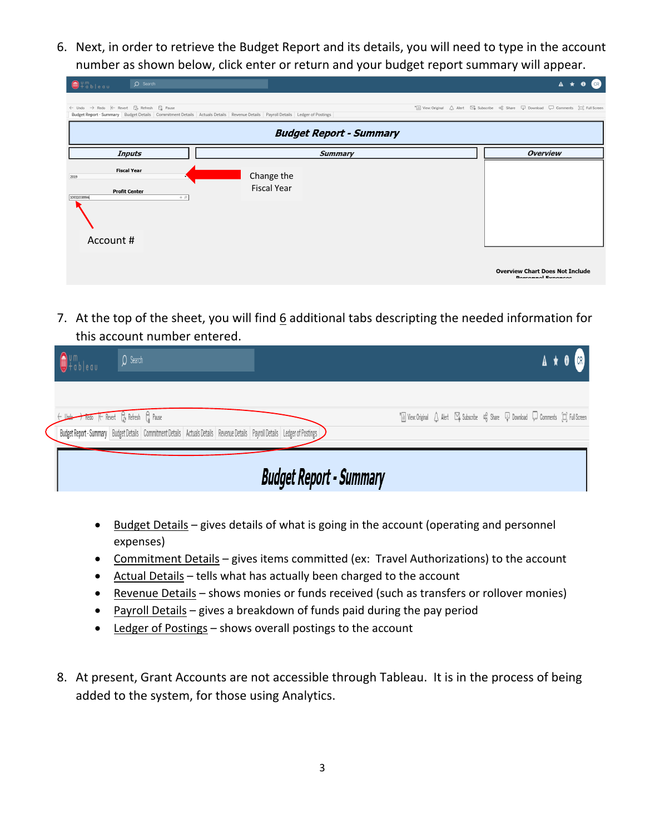6. Next, in order to retrieve the Budget Report and its details, you will need to type in the account number as shown below, click enter or return and your budget report summary will appear.

| $x + 3b$                                                                                                                                                                                       | $O$ Search    |                                                                                                                              | $\Delta$                                                                                                                    |
|------------------------------------------------------------------------------------------------------------------------------------------------------------------------------------------------|---------------|------------------------------------------------------------------------------------------------------------------------------|-----------------------------------------------------------------------------------------------------------------------------|
| $\leftarrow \text{ Undo } \rightarrow \text{Redo} \quad \left  \leftarrow \text{Revert} \quad \right  \underset{\mathcal{O}}{\ominus} \text{Refresh} \quad \bigcap_{\text{III}} \text{ Pause}$ |               | Budget Report - Summary Budget Details Commitment Details Actuals Details Revenue Details Payroll Details Ledger of Postings | * iii View: Original A Alert $\Box^2$ Subscribe $\alpha_0^0$ Share $\Box^1$ Download $\Box^1$ Comments $\Box^2$ Full Screen |
|                                                                                                                                                                                                |               | <b>Budget Report - Summary</b>                                                                                               |                                                                                                                             |
|                                                                                                                                                                                                | <b>Inputs</b> | <b>Summary</b>                                                                                                               | <b>Overview</b>                                                                                                             |
| <b>Fiscal Year</b><br>2019<br><b>Profit Center</b><br>100110389A<br>Account #                                                                                                                  | $+$ $\circ$   | Change the<br><b>Fiscal Year</b>                                                                                             |                                                                                                                             |
|                                                                                                                                                                                                |               |                                                                                                                              | <b>Overview Chart Does Not Include</b>                                                                                      |

7. At the top of the sheet, you will find 6 additional tabs descripting the needed information for this account number entered.

| $\bigcirc$ Search<br>$\bigcirc$ <sup>Um</sup> tableau                                                                                                                                                                                                              |                                                                                                                                        |
|--------------------------------------------------------------------------------------------------------------------------------------------------------------------------------------------------------------------------------------------------------------------|----------------------------------------------------------------------------------------------------------------------------------------|
| $\rightarrow$ Redo $\leftarrow$ Revert $\begin{bmatrix} 0 \\ 0 \end{bmatrix}$ Refresh $\begin{bmatrix} 0 \\ 0 \end{bmatrix}$ Pause<br>Budget Report - Summary Budget Details Commitment Details Actuals Details Revenue Details Payroll Details Ledger of Postings | * iii View: Original $\bigcirc$ Alert $\Box^2$ Subscribe $\alpha_0^0$ Share $\Box$ Download $\bigcirc$ Comments $\bigcirc$ Full Screen |
| <b>Budget Report - Summary</b>                                                                                                                                                                                                                                     |                                                                                                                                        |

- Budget Details gives details of what is going in the account (operating and personnel expenses)
- Commitment Details gives items committed (ex: Travel Authorizations) to the account
- Actual Details tells what has actually been charged to the account
- Revenue Details shows monies or funds received (such as transfers or rollover monies)
- Payroll Details gives a breakdown of funds paid during the pay period
- Ledger of Postings shows overall postings to the account
- 8. At present, Grant Accounts are not accessible through Tableau. It is in the process of being added to the system, for those using Analytics.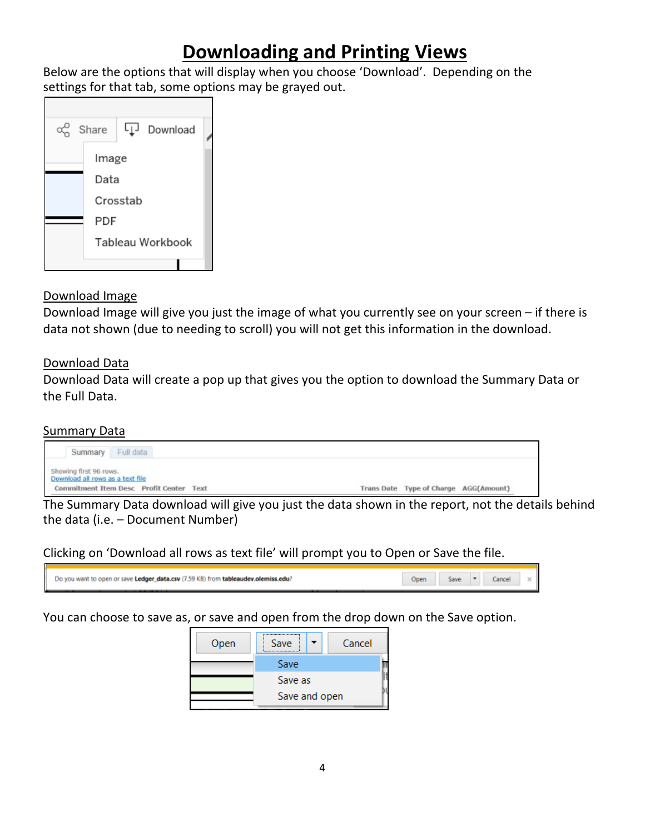# **Downloading and Printing Views**

Below are the options that will display when you choose 'Download'. Depending on the settings for that tab, some options may be grayed out.



# Download Image

Download Image will give you just the image of what you currently see on your screen – if there is data not shown (due to needing to scroll) you will not get this information in the download.

# Download Data

Download Data will create a pop up that gives you the option to download the Summary Data or the Full Data.

## **Summary Data**



The Summary Data download will give you just the data shown in the report, not the details behind the data (i.e. – Document Number)

Clicking on 'Download all rows as text file' will prompt you to Open or Save the file.

| Do you want to open or save Ledger_data.csv (7.59 KB) from tableaudev.olemiss.edu? |  |  |  |
|------------------------------------------------------------------------------------|--|--|--|
| ________                                                                           |  |  |  |

You can choose to save as, or save and open from the drop down on the Save option.

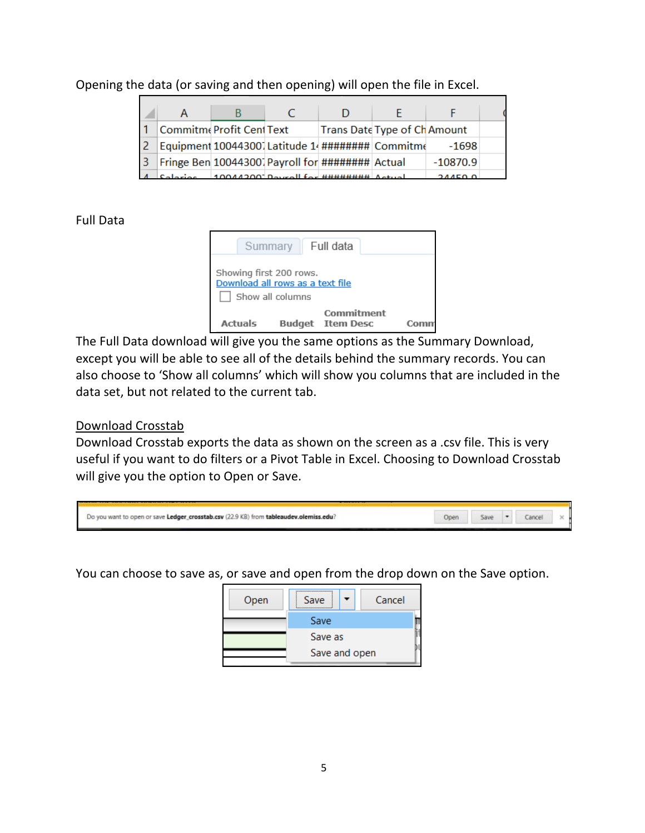Opening the data (or saving and then opening) will open the file in Excel.

|                                                  | Commitme Profit Cent Text |  | Trans Date Type of Ch Amount                     |            |  |
|--------------------------------------------------|---------------------------|--|--------------------------------------------------|------------|--|
|                                                  |                           |  | Equipment 10044300 Latitude 14 ######## Commitme | $-1698$    |  |
| Fringe Ben 100443001 Payroll for ######## Actual |                           |  |                                                  | $-10870.9$ |  |
|                                                  |                           |  |                                                  |            |  |

Full Data

|                                                                                 |         | Summary Full data |                                       |  |  |  |  |
|---------------------------------------------------------------------------------|---------|-------------------|---------------------------------------|--|--|--|--|
| Showing first 200 rows.<br>Download all rows as a text file<br>Show all columns |         |                   |                                       |  |  |  |  |
|                                                                                 | Actuals |                   | Commitment<br><b>Budget</b> Item Desc |  |  |  |  |

The Full Data download will give you the same options as the Summary Download, except you will be able to see all of the details behind the summary records. You can also choose to 'Show all columns' which will show you columns that are included in the data set, but not related to the current tab.

## Download Crosstab

Download Crosstab exports the data as shown on the screen as a .csv file. This is very useful if you want to do filters or a Pivot Table in Excel. Choosing to Download Crosstab will give you the option to Open or Save.

| Do you want to open or save Ledger_crosstab.csv (22.9 KB) from tableaudev.olemiss.edu? | Sawe |  |  |
|----------------------------------------------------------------------------------------|------|--|--|
|                                                                                        |      |  |  |

You can choose to save as, or save and open from the drop down on the Save option.

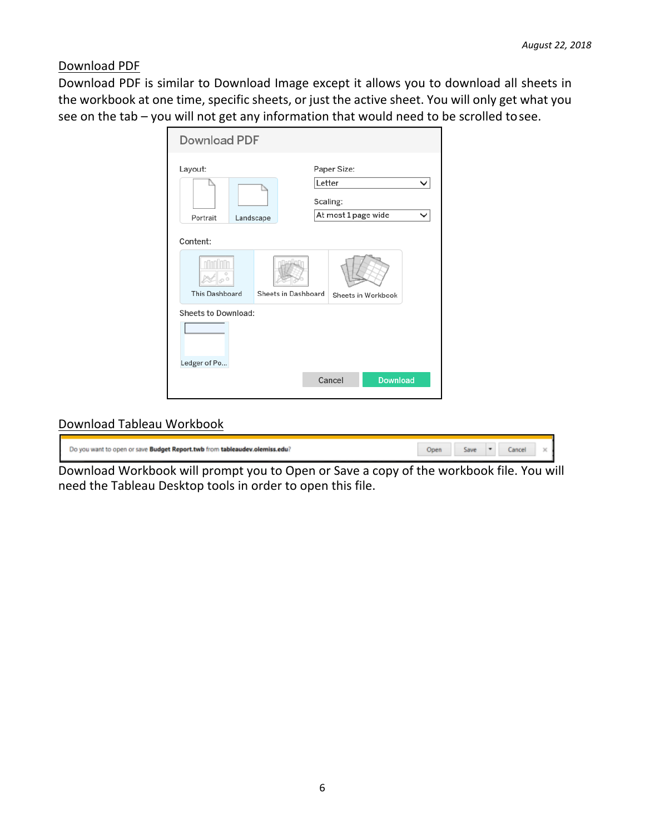Download PDF

Download PDF is similar to Download Image except it allows you to download all sheets in the workbook at one time, specific sheets, or just the active sheet. You will only get what you see on the tab – you will not get any information that would need to be scrolled tosee.

| Download PDF                     |                                                                    |
|----------------------------------|--------------------------------------------------------------------|
| Layout:<br>Portrait<br>Landscape | Paper Size:<br>Letter<br>◡<br>Scaling:<br>At most 1 page wide<br>◡ |
| Content:                         |                                                                    |
| This Dashboard                   | Sheets in Dashboard<br>Sheets in Workbook                          |
| Sheets to Download:              |                                                                    |
|                                  |                                                                    |
| Ledger of Po                     | <b>Download</b><br>Cancel                                          |

# Download Tableau Workbook

| Do you want to open or save Budget Report.twb from tableaudev.olemiss.edu? | Jaun |  |  |
|----------------------------------------------------------------------------|------|--|--|
|                                                                            |      |  |  |

Download Workbook will prompt you to Open or Save a copy of the workbook file. You will need the Tableau Desktop tools in order to open this file.